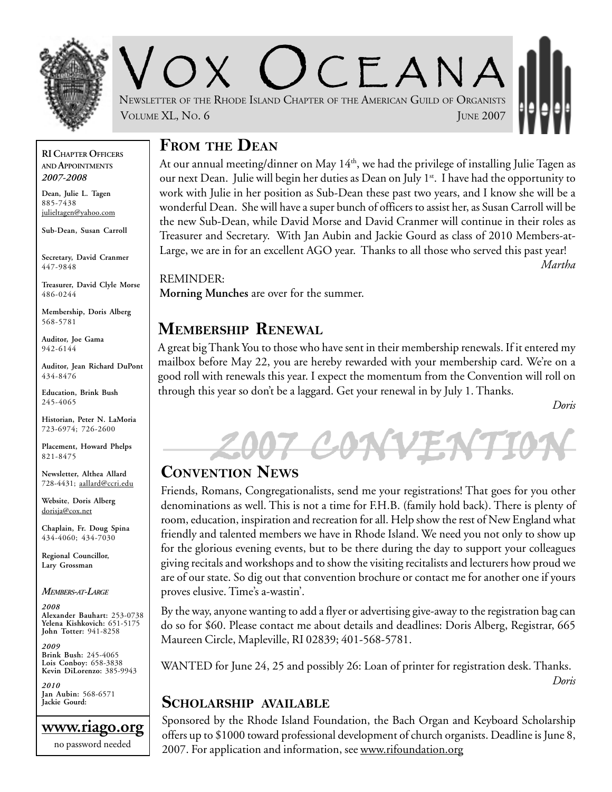

CEANA NEWSLETTER OF THE RHODE ISLAND CHAPTER OF THE AMERICAN GUILD OF ORGANISTS VOLUME XL, No. 6 JUNE 2007

### **FROM THE DEAN**

At our annual meeting/dinner on May  $14<sup>th</sup>$ , we had the privilege of installing Julie Tagen as our next Dean. Julie will begin her duties as Dean on July 1<sup>st</sup>. I have had the opportunity to work with Julie in her position as Sub-Dean these past two years, and I know she will be a wonderful Dean. She will have a super bunch of officers to assist her, as Susan Carroll will be the new Sub-Dean, while David Morse and David Cranmer will continue in their roles as Treasurer and Secretary. With Jan Aubin and Jackie Gourd as class of 2010 Members-at-Large, we are in for an excellent AGO year. Thanks to all those who served this past year! *Martha*

REMINDER: **Morning Munches** are over for the summer.

### **MEMBERSHIP RENEWAL**

A great big Thank You to those who have sent in their membership renewals. If it entered my mailbox before May 22, you are hereby rewarded with your membership card. We're on a good roll with renewals this year. I expect the momentum from the Convention will roll on through this year so don't be a laggard. Get your renewal in by July 1. Thanks.

*Doris*



#### **CONVENTION NEWS**

Friends, Romans, Congregationalists, send me your registrations! That goes for you other denominations as well. This is not a time for F.H.B. (family hold back). There is plenty of room, education, inspiration and recreation for all. Help show the rest of New England what friendly and talented members we have in Rhode Island. We need you not only to show up for the glorious evening events, but to be there during the day to support your colleagues giving recitals and workshops and to show the visiting recitalists and lecturers how proud we are of our state. So dig out that convention brochure or contact me for another one if yours proves elusive. Time's a-wastin'.

By the way, anyone wanting to add a flyer or advertising give-away to the registration bag can do so for \$60. Please contact me about details and deadlines: Doris Alberg, Registrar, 665 Maureen Circle, Mapleville, RI 02839; 401-568-5781.

WANTED for June 24, 25 and possibly 26: Loan of printer for registration desk. Thanks. *Doris*

#### **SCHOLARSHIP AVAILABLE**

Sponsored by the Rhode Island Foundation, the Bach Organ and Keyboard Scholarship offers up to \$1000 toward professional development of church organists. Deadline is June 8, 2007. For application and information, see www.rifoundation.org

**RI CHAPTER OFFICERS AND APPOINTMENTS** *2007-2008*

**Dean, Julie L. Tagen** 885-7438 julieltagen@yahoo.com

**Sub-Dean, Susan Carroll**

**Secretary, David Cranmer** 447-9848

**Treasurer, David Clyle Morse** 486-0244

**Membership, Doris Alberg** 568-5781

**Auditor, Joe Gama** 942-6144

**Auditor, Jean Richard DuPont** 434-8476

**Education, Brink Bush** 245-4065

**Historian, Peter N. LaMoria** 723-6974; 726-2600

**Placement, Howard Phelps** 821-8475

**Newsletter, Althea Allard** 728-4431; aallard@ccri.edu

**Website**, **Doris Alberg** dorisja@cox.net

**Chaplain, Fr. Doug Spina** 434-4060; 434-7030

**Regional Councillor, Lary Grossman**

*MEMBERS-AT-LARGE*

*2008* **Alexander Bauhart:** 253-0738 **Yelena Kishkovich:** 651-5175 **John Totter:** 941-8258

*2009* **Brink Bush:** 245-4065 **Lois Conboy:** 658-3838 **Kevin DiLorenzo:** 385-9943

*2010* **Jan Aubin:** 568-6571 **Jackie Gourd:**